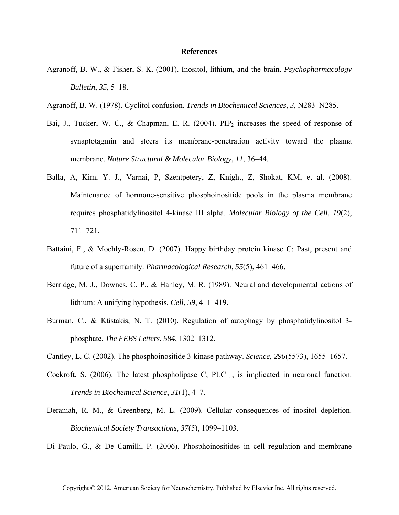## **References**

- Agranoff, B. W., & Fisher, S. K. (2001). Inositol, lithium, and the brain. *Psychopharmacology Bulletin*, *35*, 5–18.
- Agranoff, B. W. (1978). Cyclitol confusion. *Trends in Biochemical Sciences*, *3*, N283–N285.
- Bai, J., Tucker, W. C., & Chapman, E. R. (2004).  $PIP<sub>2</sub>$  increases the speed of response of synaptotagmin and steers its membrane-penetration activity toward the plasma membrane. *Nature Structural & Molecular Biology*, *11*, 36–44.
- Balla, A, Kim, Y. J., Varnai, P, Szentpetery, Z, Knight, Z, Shokat, KM, et al. (2008). Maintenance of hormone-sensitive phosphoinositide pools in the plasma membrane requires phosphatidylinositol 4-kinase III alpha. *Molecular Biology of the Cell*, *19*(2), 711–721.
- Battaini, F., & Mochly-Rosen, D. (2007). Happy birthday protein kinase C: Past, present and future of a superfamily. *Pharmacological Research*, *55*(5), 461–466.
- Berridge, M. J., Downes, C. P., & Hanley, M. R. (1989). Neural and developmental actions of lithium: A unifying hypothesis. *Cell*, *59*, 411–419.
- Burman, C., & Ktistakis, N. T. (2010). Regulation of autophagy by phosphatidylinositol 3phosphate. *The FEBS Letters*, *584*, 1302–1312.
- Cantley, L. C. (2002). The phosphoinositide 3-kinase pathway. *Science*, *296*(5573), 1655–1657.
- Cockroft, S. (2006). The latest phospholipase C, PLC, is implicated in neuronal function. *Trends in Biochemical Science*, *31*(1), 4–7.
- Deraniah, R. M., & Greenberg, M. L. (2009). Cellular consequences of inositol depletion. *Biochemical Society Transactions*, *37*(5), 1099–1103.
- Di Paulo, G., & De Camilli, P. (2006). Phosphoinositides in cell regulation and membrane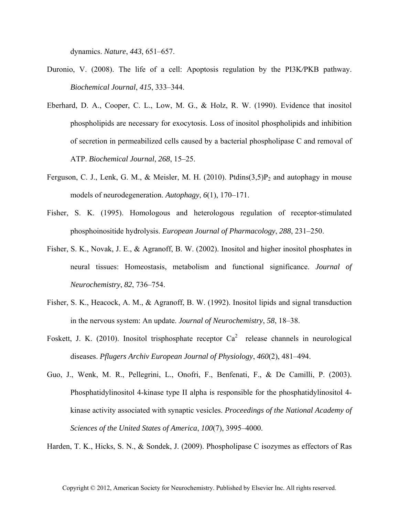dynamics. *Nature*, *443*, 651–657.

- Duronio, V. (2008). The life of a cell: Apoptosis regulation by the PI3K*/*PKB pathway. *Biochemical Journal*, *415*, 333–344.
- Eberhard, D. A., Cooper, C. L., Low, M. G., & Holz, R. W. (1990). Evidence that inositol phospholipids are necessary for exocytosis. Loss of inositol phospholipids and inhibition of secretion in permeabilized cells caused by a bacterial phospholipase C and removal of ATP. *Biochemical Journal*, *268*, 15–25.
- Ferguson, C. J., Lenk, G. M., & Meisler, M. H. (2010). Ptdins(3,5) $P_2$  and autophagy in mouse models of neurodegeneration. *Autophagy*, *6*(1), 170–171.
- Fisher, S. K. (1995). Homologous and heterologous regulation of receptor-stimulated phosphoinositide hydrolysis. *European Journal of Pharmacology*, *288*, 231–250.
- Fisher, S. K., Novak, J. E., & Agranoff, B. W. (2002). Inositol and higher inositol phosphates in neural tissues: Homeostasis, metabolism and functional significance. *Journal of Neurochemistry*, *82*, 736–754.
- Fisher, S. K., Heacock, A. M., & Agranoff, B. W. (1992). Inositol lipids and signal transduction in the nervous system: An update. *Journal of Neurochemistry*, *58*, 18–38.
- Foskett, J. K. (2010). Inositol trisphosphate receptor  $Ca^2$  release channels in neurological diseases. *Pflugers Archiv European Journal of Physiology*, *460*(2), 481–494.
- Guo, J., Wenk, M. R., Pellegrini, L., Onofri, F., Benfenati, F., & De Camilli, P. (2003). Phosphatidylinositol 4-kinase type II alpha is responsible for the phosphatidylinositol 4 kinase activity associated with synaptic vesicles. *Proceedings of the National Academy of Sciences of the United States of America*, *100*(7), 3995–4000.

Harden, T. K., Hicks, S. N., & Sondek, J. (2009). Phospholipase C isozymes as effectors of Ras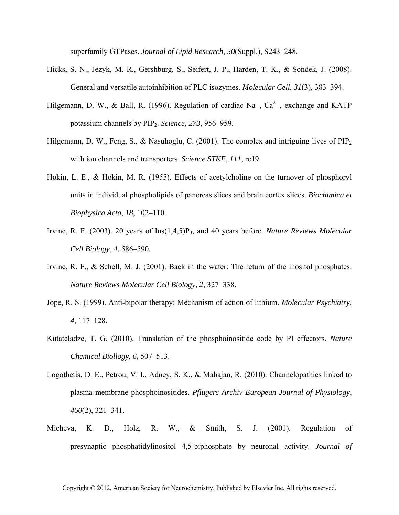superfamily GTPases. *Journal of Lipid Research*, *50*(Suppl.), S243–248.

- Hicks, S. N., Jezyk, M. R., Gershburg, S., Seifert, J. P., Harden, T. K., & Sondek, J. (2008). General and versatile autoinhibition of PLC isozymes. *Molecular Cell*, *31*(3), 383–394.
- Hilgemann, D. W., & Ball, R. (1996). Regulation of cardiac Na,  $Ca^2$ , exchange and KATP potassium channels by PIP2. *Science*, *273*, 956–959.
- Hilgemann, D. W., Feng, S., & Nasuhoglu, C. (2001). The complex and intriguing lives of  $\text{PIP}_2$ with ion channels and transporters. *Science STKE*, *111*, re19.
- Hokin, L. E., & Hokin, M. R. (1955). Effects of acetylcholine on the turnover of phosphoryl units in individual phospholipids of pancreas slices and brain cortex slices. *Biochimica et Biophysica Acta*, *18*, 102–110.
- Irvine, R. F. (2003). 20 years of Ins(1,4,5)P3, and 40 years before. *Nature Reviews Molecular Cell Biology*, *4*, 586–590.
- Irvine, R. F., & Schell, M. J. (2001). Back in the water: The return of the inositol phosphates. *Nature Reviews Molecular Cell Biology*, *2*, 327–338.
- Jope, R. S. (1999). Anti-bipolar therapy: Mechanism of action of lithium. *Molecular Psychiatry*, *4*, 117–128.
- Kutateladze, T. G. (2010). Translation of the phosphoinositide code by PI effectors. *Nature Chemical Biollogy*, *6*, 507–513.
- Logothetis, D. E., Petrou, V. I., Adney, S. K., & Mahajan, R. (2010). Channelopathies linked to plasma membrane phosphoinositides. *Pflugers Archiv European Journal of Physiology*, *460*(2), 321–341.
- Micheva, K. D., Holz, R. W., & Smith, S. J. (2001). Regulation of presynaptic phosphatidylinositol 4,5-biphosphate by neuronal activity. *Journal of*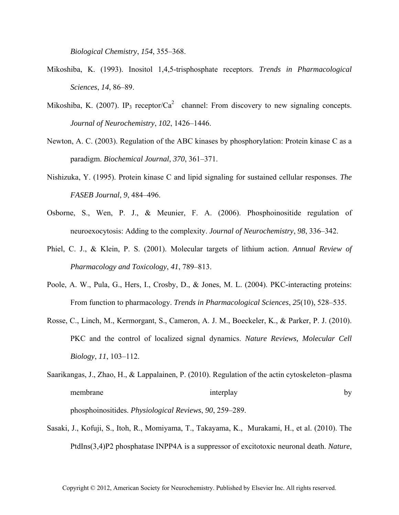*Biological Chemistry*, *154*, 355–368.

- Mikoshiba, K. (1993). Inositol 1,4,5-trisphosphate receptors. *Trends in Pharmacological Sciences*, *14*, 86–89.
- Mikoshiba, K. (2007). IP<sub>3</sub> receptor/Ca<sup>2</sup> channel: From discovery to new signaling concepts. *Journal of Neurochemistry*, *102*, 1426–1446.
- Newton, A. C. (2003). Regulation of the ABC kinases by phosphorylation: Protein kinase C as a paradigm. *Biochemical Journal*, *370*, 361–371.
- Nishizuka, Y. (1995). Protein kinase C and lipid signaling for sustained cellular responses. *The FASEB Journal*, *9*, 484–496.
- Osborne, S., Wen, P. J., & Meunier, F. A. (2006). Phosphoinositide regulation of neuroexocytosis: Adding to the complexity. *Journal of Neurochemistry*, *98*, 336–342.
- Phiel, C. J., & Klein, P. S. (2001). Molecular targets of lithium action. *Annual Review of Pharmacology and Toxicology*, *41*, 789–813.
- Poole, A. W., Pula, G., Hers, I., Crosby, D., & Jones, M. L. (2004). PKC-interacting proteins: From function to pharmacology. *Trends in Pharmacological Sciences*, *25*(10), 528–535.
- Rosse, C., Linch, M., Kermorgant, S., Cameron, A. J. M., Boeckeler, K., & Parker, P. J. (2010). PKC and the control of localized signal dynamics. *Nature Reviews, Molecular Cell Biology*, *11*, 103–112.
- Saarikangas, J., Zhao, H., & Lappalainen, P. (2010). Regulation of the actin cytoskeleton–plasma membrane interplay by by phosphoinositides. *Physiological Reviews*, *90*, 259–289.
- Sasaki, J., Kofuji, S., Itoh, R., Momiyama, T., Takayama, K., Murakami, H., et al. (2010). The PtdIns(3,4)P2 phosphatase INPP4A is a suppressor of excitotoxic neuronal death. *Nature*,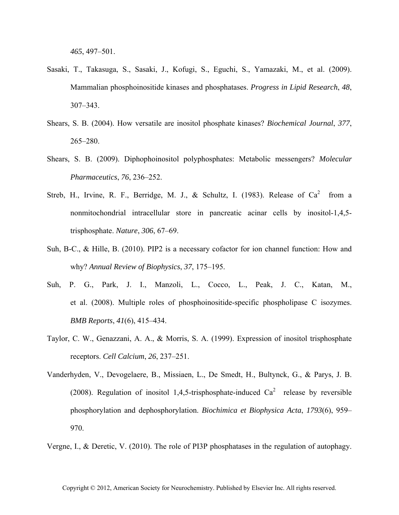*465*, 497–501.

- Sasaki, T., Takasuga, S., Sasaki, J., Kofugi, S., Eguchi, S., Yamazaki, M., et al. (2009). Mammalian phosphoinositide kinases and phosphatases. *Progress in Lipid Research*, *48*, 307–343.
- Shears, S. B. (2004). How versatile are inositol phosphate kinases? *Biochemical Journal*, *377*, 265–280.
- Shears, S. B. (2009). Diphophoinositol polyphosphates: Metabolic messengers? *Molecular Pharmaceutics*, *76*, 236–252.
- Streb, H., Irvine, R. F., Berridge, M. J., & Schultz, I. (1983). Release of  $Ca^2$  from a nonmitochondrial intracellular store in pancreatic acinar cells by inositol-1,4,5 trisphosphate. *Nature*, *306*, 67–69.
- Suh, B-C., & Hille, B. (2010). PIP2 is a necessary cofactor for ion channel function: How and why? *Annual Review of Biophysics*, *37*, 175–195.
- Suh, P. G., Park, J. I., Manzoli, L., Cocco, L., Peak, J. C., Katan, M., et al. (2008). Multiple roles of phosphoinositide-specific phospholipase C isozymes. *BMB Reports*, *41*(6), 415–434.
- Taylor, C. W., Genazzani, A. A., & Morris, S. A. (1999). Expression of inositol trisphosphate receptors. *Cell Calcium*, *26*, 237–251.
- Vanderhyden, V., Devogelaere, B., Missiaen, L., De Smedt, H., Bultynck, G., & Parys, J. B. (2008). Regulation of inositol 1,4,5-trisphosphate-induced  $Ca<sup>2</sup>$  release by reversible phosphorylation and dephosphorylation. *Biochimica et Biophysica Acta*, *1793*(6), 959– 970.

Vergne, I., & Deretic, V. (2010). The role of PI3P phosphatases in the regulation of autophagy.